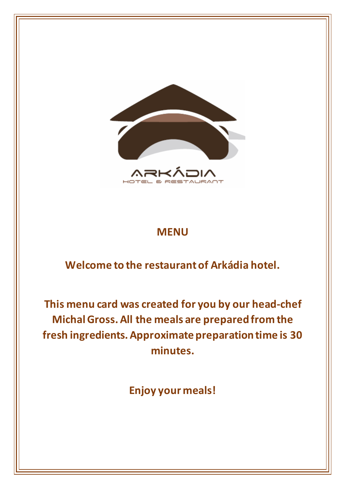

#### **MENU**

#### **Welcome to the restaurant of Arkádia hotel.**

**This menu card was created for you by our head-chef Michal Gross. All the meals are prepared from the fresh ingredients. Approximate preparation time is 30 minutes.**

**Enjoy your meals!**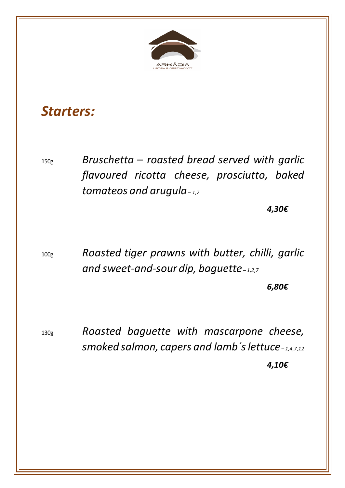

### *Starters:*

150g *Bruschetta – roasted bread served with garlic flavoured ricotta cheese, prosciutto, baked tomateos and arugula– 1,7*

*4,30€*

100g *Roasted tiger prawns with butter, chilli, garlic and sweet-and-sour dip, baguette – 1,2,7*

*6,80€*

130g *Roasted baguette with mascarpone cheese, smoked salmon, capers and lamb´s lettuce – 1,4,7,12 4,10€*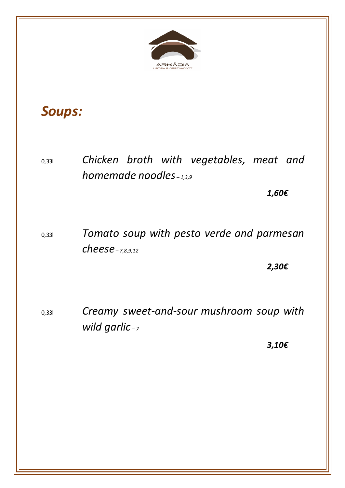

## *Soups:*

0,33l *Chicken broth with vegetables, meat and homemade noodles – 1,3,9*

*1,60€*

0,33l *Tomato soup with pesto verde and parmesan cheese – 7,8,9,12*

*2,30€*

0,33l *Creamy sweet-and-sour mushroom soup with wild garlic – <sup>7</sup>*

*3,10€*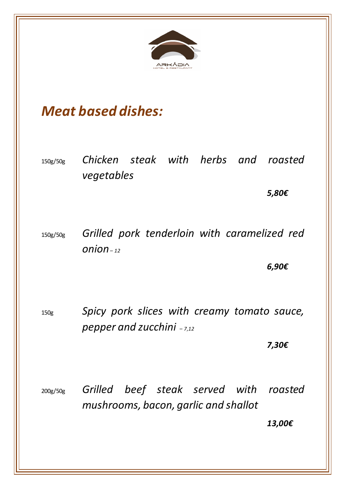

## *Meat based dishes:*

150g/50g *Chicken steak with herbs and roasted vegetables*

*5,80€*

150g/50g *Grilled pork tenderloin with caramelized red onion– <sup>12</sup>*

*6,90€*

150g *Spicy pork slices with creamy tomato sauce, pepper and zucchini – 7,12*

*7,30€*

200g/50g *Grilled beef steak served with roasted mushrooms, bacon, garlic and shallot*

*13,00€*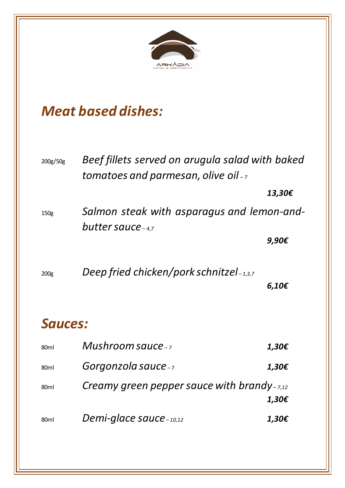

## *Meat based dishes:*

| 200g/50g         | Beef fillets served on arugula salad with baked<br>tomatoes and parmesan, olive oil- $_7$ |        |  |
|------------------|-------------------------------------------------------------------------------------------|--------|--|
|                  |                                                                                           | 13,30€ |  |
| 150g             | Salmon steak with asparagus and lemon-and-<br>butter sauce $-4,7$                         |        |  |
|                  |                                                                                           | 9,90€  |  |
| 200 <sub>g</sub> | Deep fried chicken/pork schnitze $I_{-1,3,7}$                                             | 6,10€  |  |
| Sauces:          |                                                                                           |        |  |
| 80ml             | Mushroom sauce-7                                                                          | 1,30€  |  |
| 80ml             | Gorgonzola sauce-7                                                                        | 1,30€  |  |
| 80 <sub>ml</sub> | Creamy green pepper sauce with brandy- $_{7,12}$                                          |        |  |
|                  |                                                                                           | 1,30€  |  |
| 80ml             | Demi-glace sauce $_{-10,12}$                                                              | 1,30€  |  |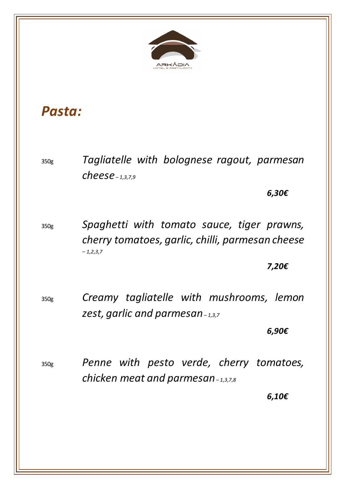

## *Pasta:*

350g *Tagliatelle with bolognese ragout, parmesan cheese – 1,3,7,9*

*6,30€*

350g *Spaghetti with tomato sauce, tiger prawns, cherry tomatoes, garlic, chilli, parmesan cheese – 1,2,3,7*

*7,20€*

350g *Creamy tagliatelle with mushrooms, lemon zest, garlic and parmesan– 1,3,7*

*6,90€*

350g *Penne with pesto verde, cherry tomatoes, chicken meat and parmesan– 1,3,7,8*

*6,10€*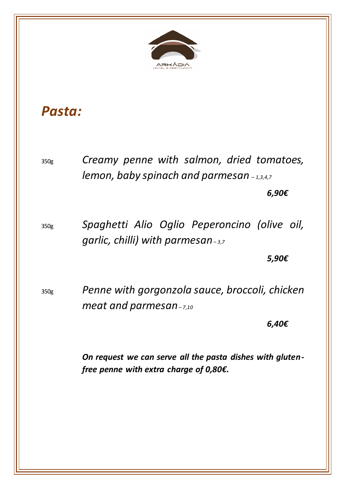

## *Pasta:*

350g *Creamy penne with salmon, dried tomatoes, lemon, baby spinach and parmesan – 1,3,4,7*

*6,90€*

350g *Spaghetti Alio Oglio Peperoncino (olive oil, garlic, chilli) with parmesan– 3,7*

*5,90€*

350g *Penne with gorgonzola sauce, broccoli, chicken meat and parmesan– 7,10*

*6,40€*

*On request we can serve all the pasta dishes with glutenfree penne with extra charge of 0,80€.*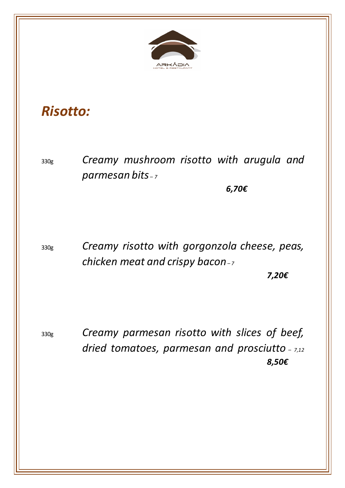

#### *Risotto:*

330g *Creamy mushroom risotto with arugula and parmesan bits – <sup>7</sup>*

*6,70€*

330g *Creamy risotto with gorgonzola cheese, peas, chicken meat and crispy bacon– <sup>7</sup>*

*7,20€*

330g *Creamy parmesan risotto with slices of beef, dried tomatoes, parmesan and prosciutto – 7,12 8,50€*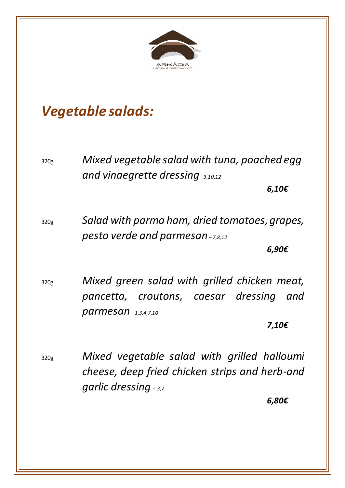

## *Vegetable salads:*

320g *Mixed vegetable salad with tuna, poached egg and vinaegrette dressing– 3,10,12*

*6,10€*

320g *Salad with parma ham, dried tomatoes, grapes, pesto verde and parmesan– 7,8,12*

*6,90€*

320g *Mixed green salad with grilled chicken meat, pancetta, croutons, caesar dressing and parmesan– 1,3,4,7,10*

*7,10€*

320g *Mixed vegetable salad with grilled halloumi cheese, deep fried chicken strips and herb-and garlic dressing – 3,7*

*6,80€*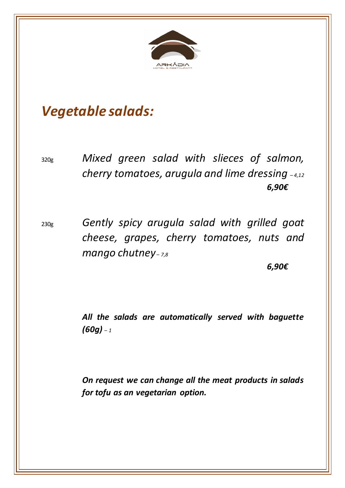

## *Vegetable salads:*

320g *Mixed green salad with slieces of salmon, cherry tomatoes, arugula and lime dressing – 4,12 6,90€*

230g *Gently spicy arugula salad with grilled goat cheese, grapes, cherry tomatoes, nuts and mango chutney – 7,8*

*6,90€*

*All the salads are automatically served with baguette (60g) – <sup>1</sup>*

*On request we can change all the meat products in salads for tofu as an vegetarian option.*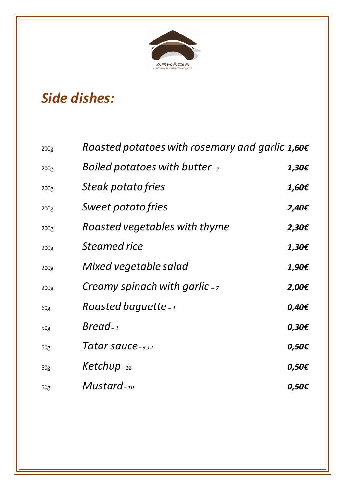

# *Side dishes:*

| 200 <sub>g</sub> | Roasted potatoes with rosemary and garlic $1,60 \epsilon$ |                 |
|------------------|-----------------------------------------------------------|-----------------|
| 200 <sub>g</sub> | Boiled potatoes with butter-7                             | 1,30€           |
| 200 <sub>g</sub> | <i>Steak potato fries</i>                                 | 1,60€           |
| 200 <sub>g</sub> | <i>Sweet potato fries</i>                                 | 2,40€           |
| 200 <sub>g</sub> | Roasted vegetables with thyme                             | $2,30 \epsilon$ |
| 200 <sub>g</sub> | Steamed rice                                              | 1,30€           |
| 200 <sub>g</sub> | Mixed vegetable salad                                     | 1,90€           |
| 200 <sub>g</sub> | Creamy spinach with garlic $-$                            | 2,00€           |
| 60g              | Roasted baquette $-1$                                     | 0,40€           |
| 50g              | $Bread_{-1}$                                              | 0,30€           |
| 50g              | Tatar sauce <sub>-3,12</sub>                              | 0,50€           |
| 50g              | $Ketchup_{-12}$                                           | 0,50€           |
| 50g              | $Mustard_{-10}$                                           | 0,50€           |